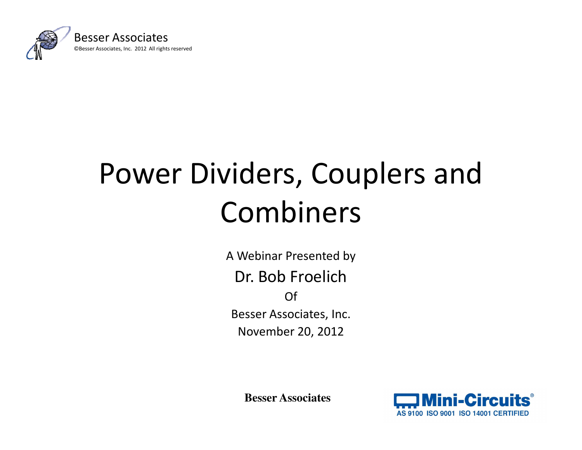

# Power Dividers, Couplers and Combiners

A Webinar Presented byDr. Bob FroelichOf Besser Associates, Inc. November 20, 2012

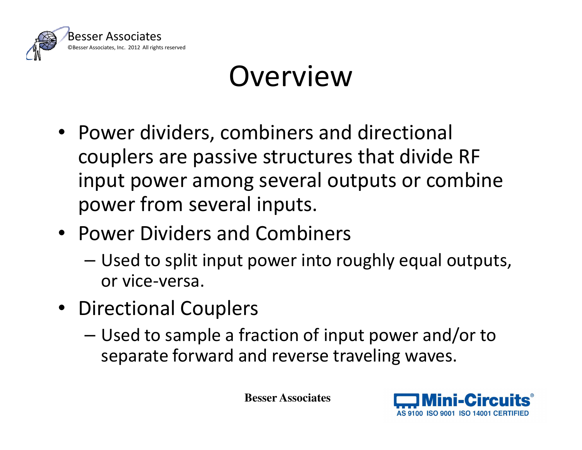

#### **Overview**

- Power dividers, combiners and directional couplers are passive structures that divide RF input power among several outputs or combine power from several inputs.
- Power Dividers and Combiners
	-
- 
- Used to split input power into roughly equal outputs,<br>
 Directional Couplers<br>
 Used to sample a fraction of input power and/or to<br>
separate forward and reverse traveling waves.<br>
Besser Associates<br>
→ Mini-Circuit

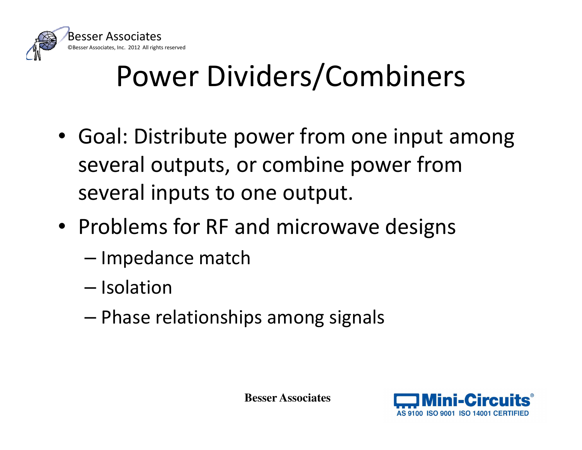

# Power Dividers/Combiners

- Goal: Distribute power from one input among several outputs, or combine power from several inputs to one output.
- Problems for RF and microwave designs
	-
	-
	- Impedance match Isolation Phase relationships among signals

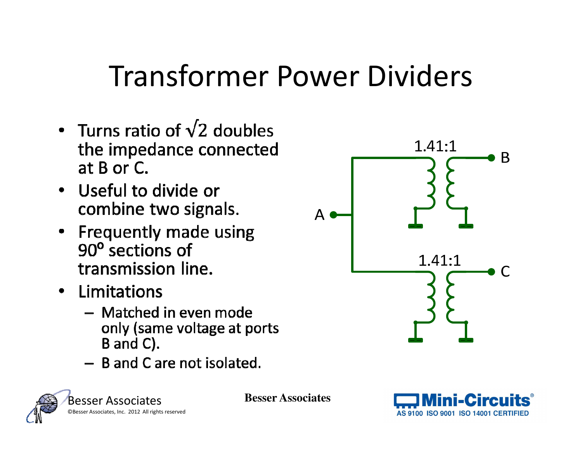#### Transformer Power Dividers

- Turns ratio of  $\sqrt{2}$  doubles the impedance connected at  $B$  or  $C$ .
- Useful to divide or combine two signals.
- Frequently made using 90° sections of transmission line.
- Limitations
	- Matched in even mode only (same voltage at ports B and C).
	- $-$  B and C are not isolated.





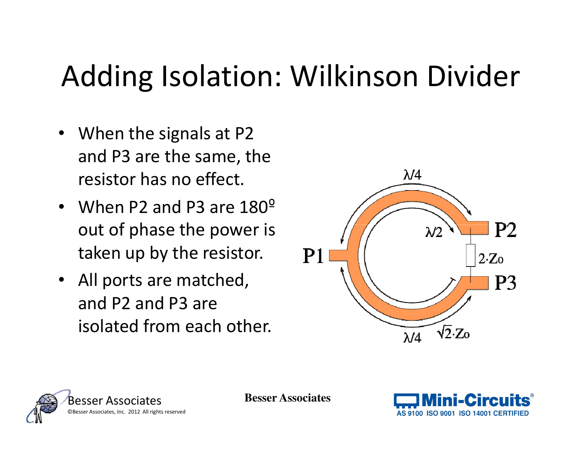#### Adding Isolation: Wilkinson Divider

- When the signals at P2 and P3 are the same, the resistor has no effect.
- When P2 and P3 are  $180^{\circ}$ out of phase the power is taken up by the resistor.
- All ports are matched, and P2 and P3 are isolated from each other.





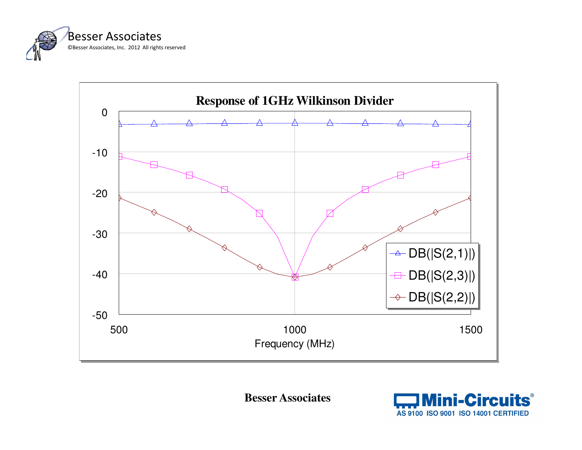



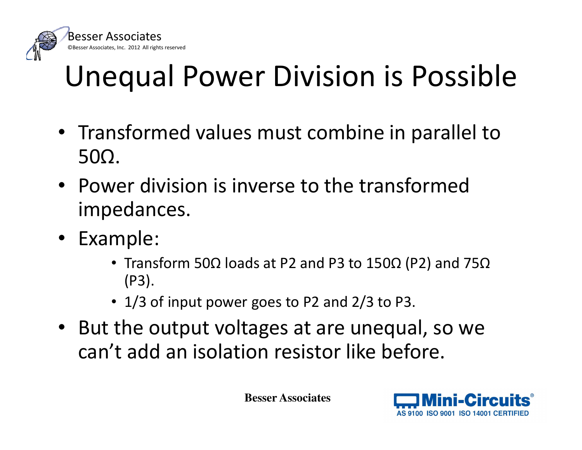

# Unequal Power Division is Possible

- Transformed values must combine in parallel to 50Ω.
- Power division is inverse to the transformed impedances.
- Example:
	- Transform 50Ω loads at P2 and P3 to 150Ω (P2) and 75Ω(P3).
	- 1/3 of input power goes to P2 and 2/3 to P3.
- But the output voltages at are unequal, so we can't add an isolation resistor like before.

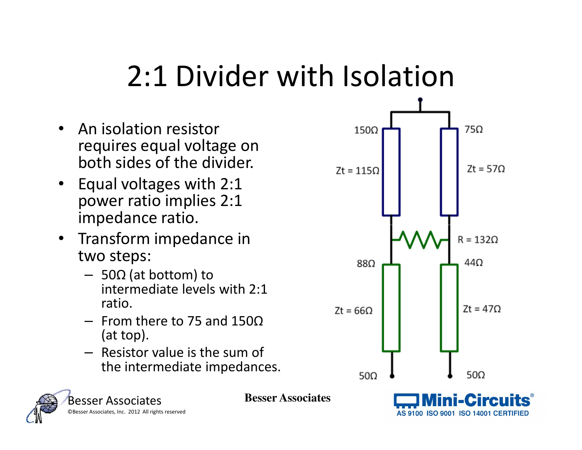#### 2:1 Divider with Isolation

- $\bullet$  An isolation resistor requires equal voltage on both sides of the divider.
- Equal voltages with 2:1 power ratio implies 2:1 impedance ratio.
- Transform impedance in two steps:
	- 50Ω (at bottom) to intermediate levels with 2:1 ratio.
	- From there to 75 and 150Ω(at top).
	- Resistor value is the sum of the intermediate impedances.



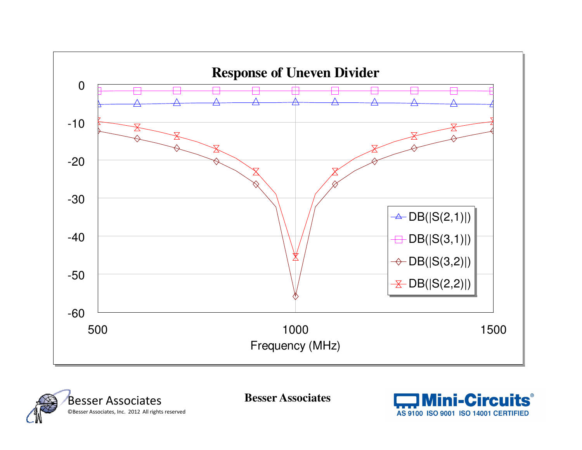



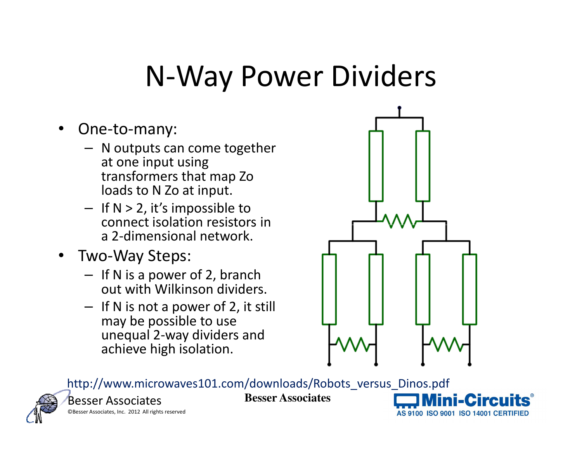#### N-Way Power Dividers

- • One-to-many:
	- N outputs can come together at one input using transformers that map Zo loads to N Zo at input.
	- $-$  If N > 2, it's impossible to connect isolation resistors in a 2-dimensional network.
- Two-Way Steps:
	- If N is a power of 2, branch out with Wilkinson dividers.
	- $-$  If N is not a power of 2, it still may be possible to use unequal 2-way dividers and achieve high isolation.



http://www.microwaves101.com/downloads/Robots versus Dinos.pdf



Besser Associates©Besser Associates, Inc. 2012 All rights reserved

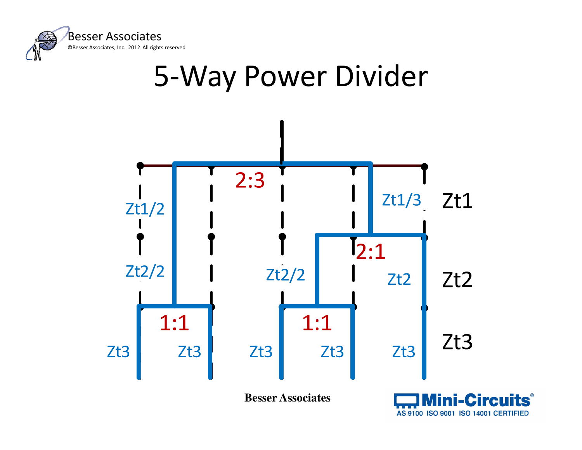



AS 9100 ISO 9001 ISO 14001 CERTIFIED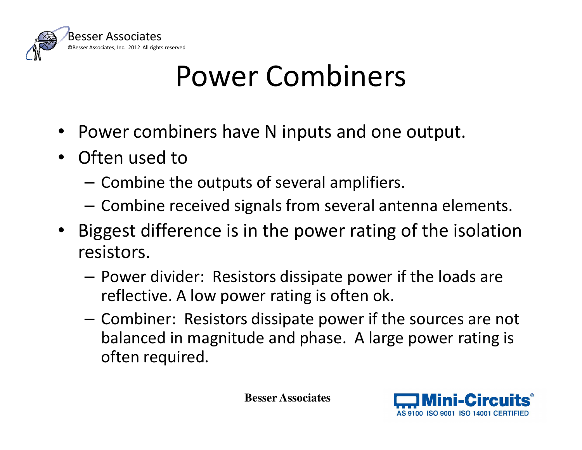

#### Power Combiners

- •Power combiners have N inputs and one output.
- Often used to
	- – $-$  Combine the outputs of several amplifiers.
	- – $-$  Combine received signals from several antenna elements.
- Biggest difference is in the power rating of the isolation resistors.
	- –- Power divider: Resistors dissipate power if the loads are reflective. A low power rating is often ok.
	- – Combiner: Resistors dissipate power if the sources are not balanced in magnitude and phase. A large power rating is often required.

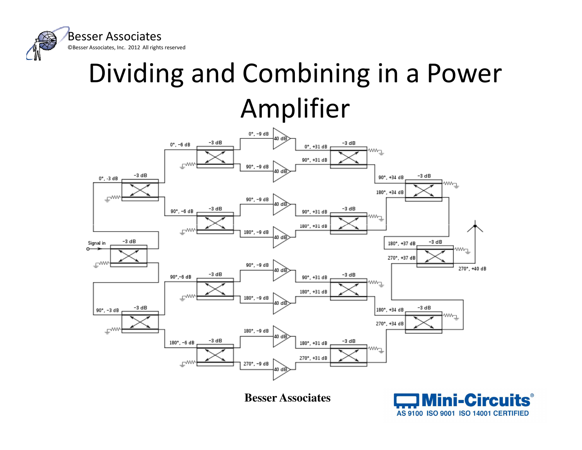

#### Dividing and Combining in a Power Amplifier



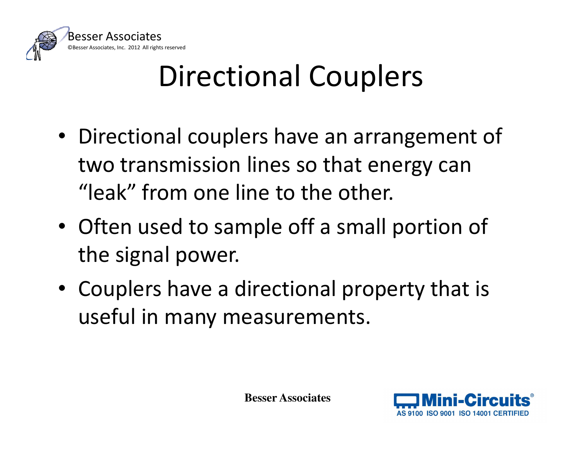

# Directional Couplers

- Directional couplers have an arrangement of two transmission lines so that energy can "leak" from one line to the other.
- Often used to sample off a small portion of the signal power.
- Couplers have a directional property that is useful in many measurements.

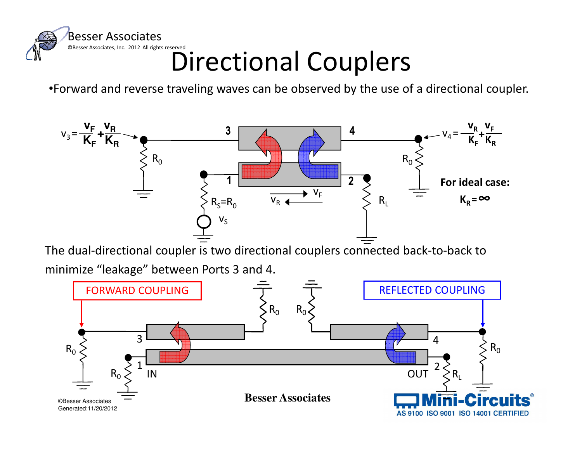

#### Directional Couplers

•Forward and reverse traveling waves can be observed by the use of a directional coupler.



The dual-directional coupler is two directional couplers connected back-to-back to

minimize "leakage" between Ports 3 and 4.

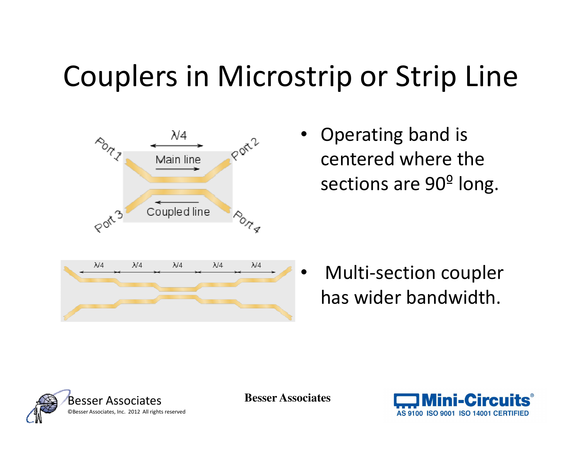## Couplers in Microstrip or Strip Line



• Operating band is centered where the sections are 90º long.

• Multi-section coupler has wider bandwidth.



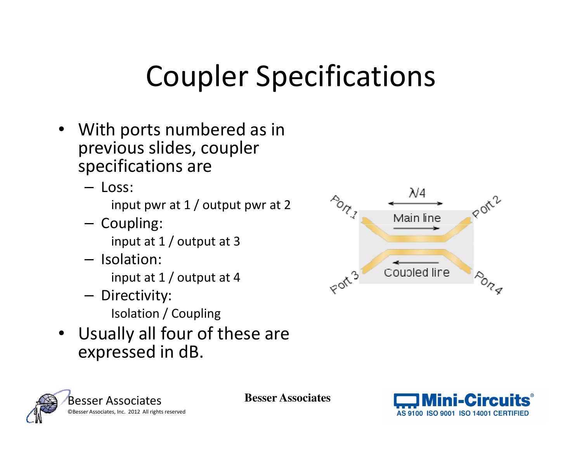# Coupler Specifications

- With ports numbered as in previous slides, coupler specifications are
	- Loss: input pwr at 1 / output pwr at 2
	- Coupling: input at 1 / output at 3
	- $-$  Isolation: input at 1 / output at 4
	- Directivity: Isolation / Coupling
- Usually all four of these are expressed in dB.





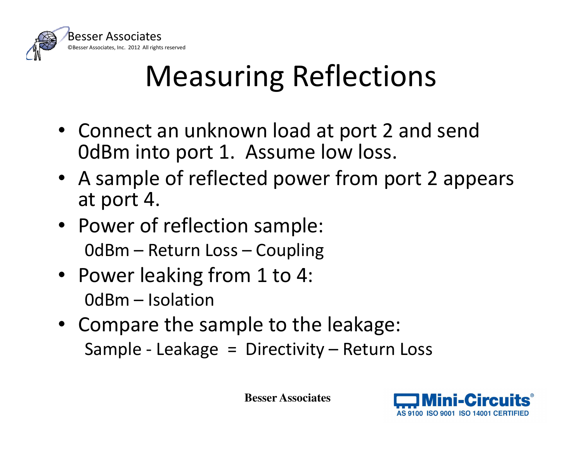

# Measuring Reflections

- Connect an unknown load at port 2 and send 0dBm into port 1. Assume low loss.
- A sample of reflected power from port 2 appears at port 4.
- Power of reflection sample: 0dBm – Return Loss – Coupling
- Power leaking from 1 to 4: 0dBm – Isolation
- Compare the sample to the leakage: Sample - Leakage = Directivity – Return Loss

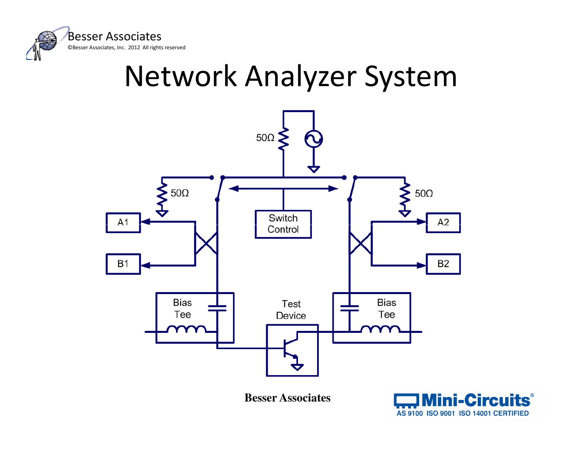

# Network Analyzer System



**Mini-Circuits®** AS 9100 ISO 9001 ISO 14001 CERTIFIED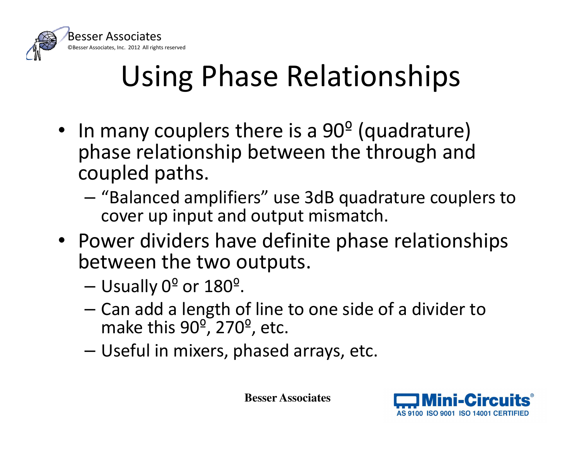

# Using Phase Relationships

- •• In many couplers there is a  $90^{\circ}$  (quadrature) phase relationship between the through and coupled paths.
	- and the state of the - "Balanced amplifiers" use 3dB quadrature couplers to cover up input and output mismatch.
- Power dividers have definite phase relationships between the two outputs.
	- $-$  Usually 0 $^{\sf o}$  or 180 $^{\sf o}$ .
	- and the state of the - Can add a length of line to one side of a divider to  $-$  can add a length of line to one side of a divider to make this 90<sup>o</sup>, 270<sup>o</sup>, etc.
	- and the state of the Useful in mixers, phased arrays, etc.

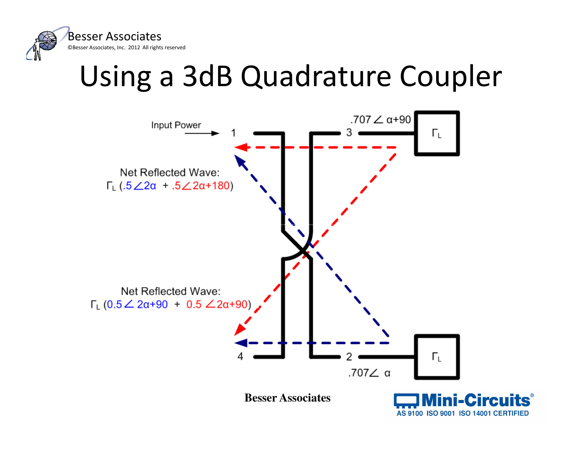

#### Using a 3dB Quadrature Coupler

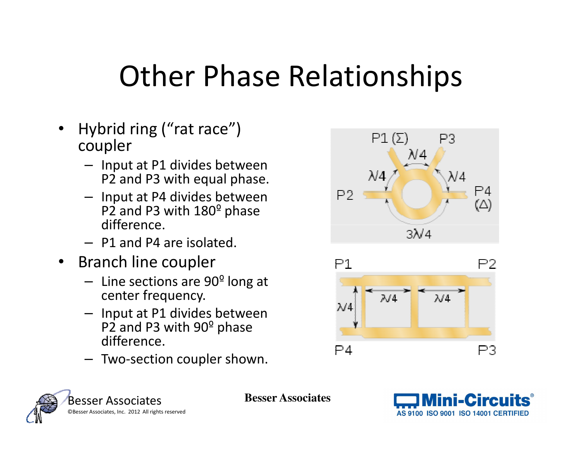#### Other Phase Relationships

- $\bullet$  Hybrid ring ("rat race") coupler
	- Input at P1 divides between P2 and P3 with equal phase.
	- Input at P4 divides between P2 and P3 with  $180^{\circ}$  phase difference.
	- P1 and P4 are isolated.
- $\bullet$  Branch line coupler
	- Line sections are 90<sup>o</sup> long at center frequency.
	- Input at P1 divides between P2 and P3 with 90 $^{\circ}$  phase difference.
	- Two-section coupler shown.







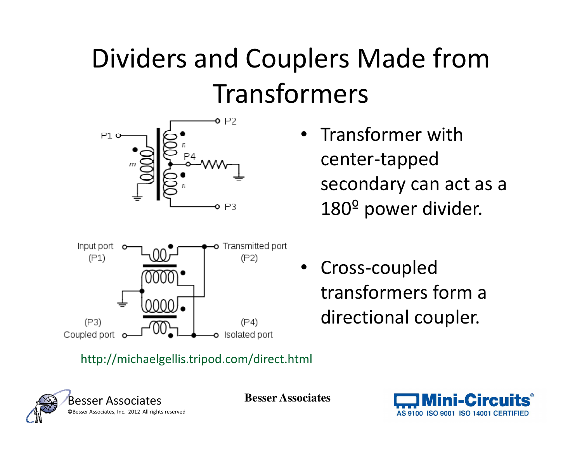#### Dividers and Couplers Made from Transformers



• Transformer with center-tapped secondary can act as a 180º power divider.



• Cross-coupled transformers form a directional coupler.

#### http://michaelgellis.tripod.com/direct.html